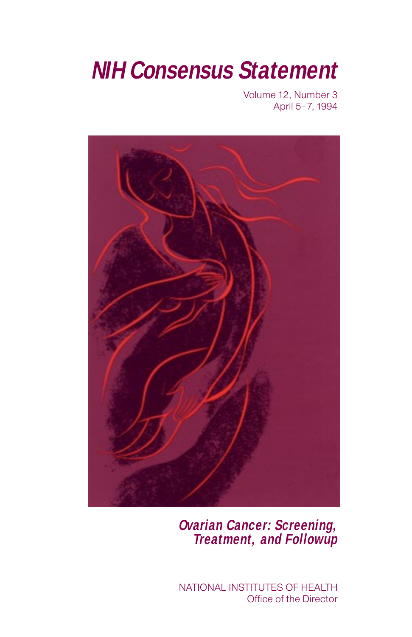# **NIH Consensus Statement**

Volume 12, Number 3 April 5–7, 1994



**Ovarian Cancer: Screening, Treatment, and Followup** 

NATIONAL INSTITUTES OF HEALTH Office of the Director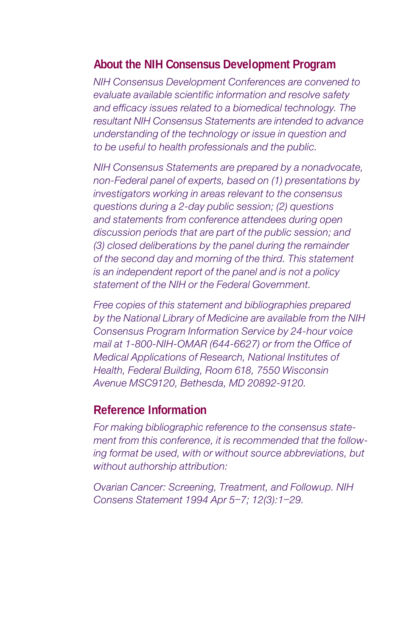### **About the NIH Consensus Development Program**

NIH Consensus Development Conferences are convened to evaluate available scientific information and resolve safety and efficacy issues related to a biomedical technology. The resultant NIH Consensus Statements are intended to advance understanding of the technology or issue in question and to be useful to health professionals and the public.

NIH Consensus Statements are prepared by a nonadvocate, non-Federal panel of experts, based on (1) presentations by investigators working in areas relevant to the consensus questions during a 2-day public session; (2) questions and statements from conference attendees during open discussion periods that are part of the public session; and (3) closed deliberations by the panel during the remainder of the second day and morning of the third. This statement is an independent report of the panel and is not a policy statement of the NIH or the Federal Government.

Free copies of this statement and bibliographies prepared by the National Library of Medicine are available from the NIH Consensus Program Information Service by 24-hour voice mail at 1-800-NIH-OMAR (644-6627) or from the Office of Medical Applications of Research, National Institutes of Health, Federal Building, Room 618, 7550 Wisconsin Avenue MSC9120, Bethesda, MD 20892-9120.

### **Reference Information**

For making bibliographic reference to the consensus statement from this conference, it is recommended that the following format be used, with or without source abbreviations, but without authorship attribution:

Ovarian Cancer: Screening, Treatment, and Followup. NIH Consens Statement 1994 Apr 5–7; 12(3):1–29.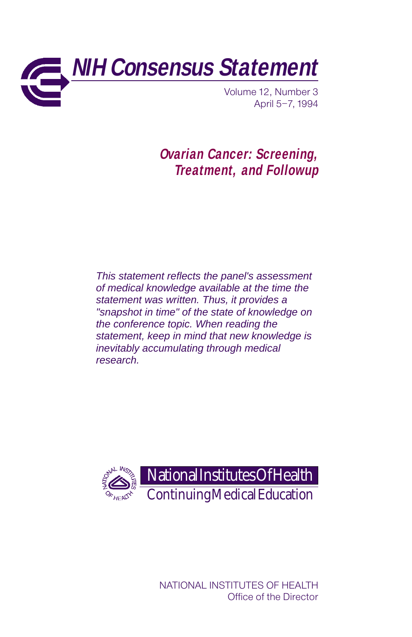

**Ovarian Cancer: Screening, Treatment, and Followup** 

This statement reflects the panel's assessment of medical knowledge available at the time the statement was written. Thus, it provides a "snapshot in time" of the state of knowledge on the conference topic. When reading the statement, keep in mind that new knowledge is inevitably accumulating through medical research.



NATIONAL INSTITUTES OF HEALTH Office of the Director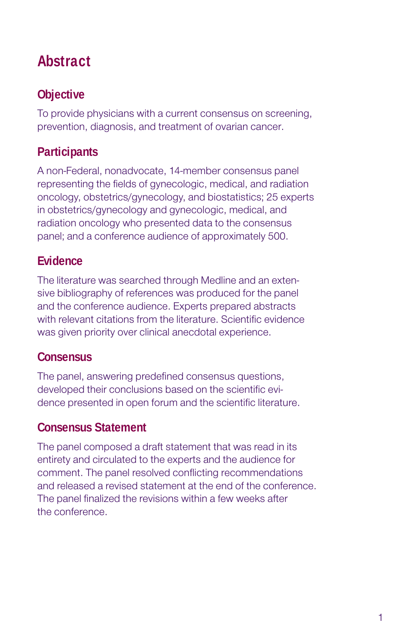## **Abstract**

### **Objective**

To provide physicians with a current consensus on screening, prevention, diagnosis, and treatment of ovarian cancer.

### **Participants**

A non-Federal, nonadvocate, 14-member consensus panel representing the fields of gynecologic, medical, and radiation oncology, obstetrics/gynecology, and biostatistics; 25 experts in obstetrics/gynecology and gynecologic, medical, and radiation oncology who presented data to the consensus panel; and a conference audience of approximately 500.

### **Evidence**

The literature was searched through Medline and an extensive bibliography of references was produced for the panel and the conference audience. Experts prepared abstracts with relevant citations from the literature. Scientific evidence was given priority over clinical anecdotal experience.

### **Consensus**

The panel, answering predefined consensus questions, developed their conclusions based on the scientific evidence presented in open forum and the scientific literature.

### **Consensus Statement**

The panel composed a draft statement that was read in its entirety and circulated to the experts and the audience for comment. The panel resolved conflicting recommendations and released a revised statement at the end of the conference. The panel finalized the revisions within a few weeks after the conference.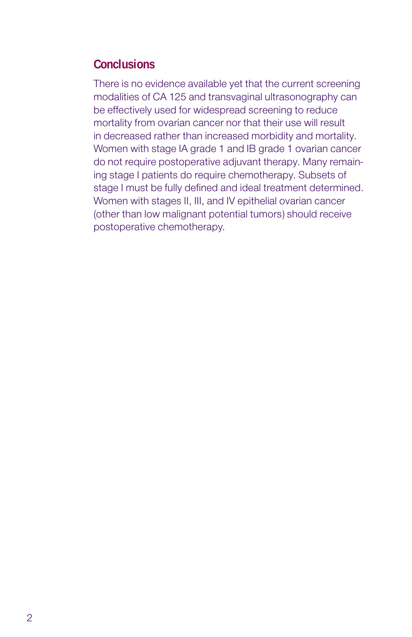### **Conclusions**

There is no evidence available yet that the current screening modalities of CA 125 and transvaginal ultrasonography can be effectively used for widespread screening to reduce mortality from ovarian cancer nor that their use will result in decreased rather than increased morbidity and mortality. Women with stage IA grade 1 and IB grade 1 ovarian cancer do not require postoperative adjuvant therapy. Many remaining stage I patients do require chemotherapy. Subsets of stage I must be fully defined and ideal treatment determined. Women with stages II, III, and IV epithelial ovarian cancer (other than low malignant potential tumors) should receive postoperative chemotherapy.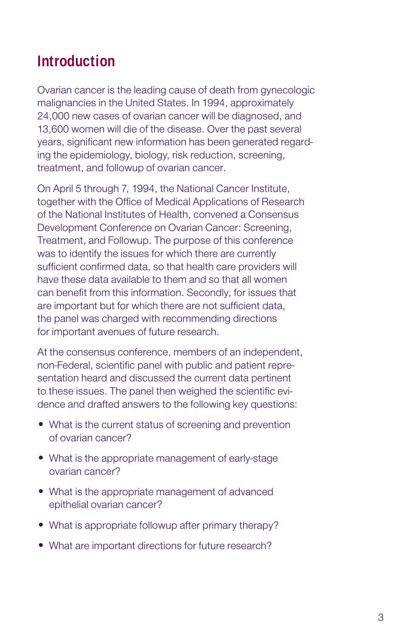## **Introduction**

Ovarian cancer is the leading cause of death from gynecologic malignancies in the United States. In 1994, approximately 24,000 new cases of ovarian cancer will be diagnosed, and 13,600 women will die of the disease. Over the past several years, significant new information has been generated regarding the epidemiology, biology, risk reduction, screening, treatment, and followup of ovarian cancer.

On April 5 through 7, 1994, the National Cancer Institute, together with the Office of Medical Applications of Research of the National Institutes of Health, convened a Consensus Development Conference on Ovarian Cancer: Screening, Treatment, and Followup. The purpose of this conference was to identify the issues for which there are currently sufficient confirmed data, so that health care providers will have these data available to them and so that all women can benefit from this information. Secondly, for issues that are important but for which there are not sufficient data, the panel was charged with recommending directions for important avenues of future research.

At the consensus conference, members of an independent, non-Federal, scientific panel with public and patient representation heard and discussed the current data pertinent to these issues. The panel then weighed the scientific evidence and drafted answers to the following key questions:

- What is the current status of screening and prevention of ovarian cancer?
- What is the appropriate management of early-stage ovarian cancer?
- What is the appropriate management of advanced epithelial ovarian cancer?
- What is appropriate followup after primary therapy?
- What are important directions for future research?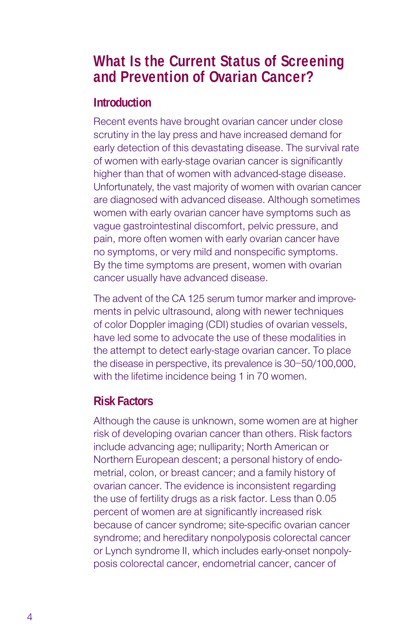### **What Is the Current Status of Screening and Prevention of Ovarian Cancer?**

### **Introduction**

Recent events have brought ovarian cancer under close scrutiny in the lay press and have increased demand for early detection of this devastating disease. The survival rate of women with early-stage ovarian cancer is significantly higher than that of women with advanced-stage disease. Unfortunately, the vast majority of women with ovarian cancer are diagnosed with advanced disease. Although sometimes women with early ovarian cancer have symptoms such as vague gastrointestinal discomfort, pelvic pressure, and pain, more often women with early ovarian cancer have no symptoms, or very mild and nonspecific symptoms. By the time symptoms are present, women with ovarian cancer usually have advanced disease.

The advent of the CA 125 serum tumor marker and improvements in pelvic ultrasound, along with newer techniques of color Doppler imaging (CDI) studies of ovarian vessels, have led some to advocate the use of these modalities in the attempt to detect early-stage ovarian cancer. To place the disease in perspective, its prevalence is 30–50/100,000, with the lifetime incidence being 1 in 70 women.

### **Risk Factors**

Although the cause is unknown, some women are at higher risk of developing ovarian cancer than others. Risk factors include advancing age; nulliparity; North American or Northern European descent; a personal history of endometrial, colon, or breast cancer; and a family history of ovarian cancer. The evidence is inconsistent regarding the use of fertility drugs as a risk factor. Less than 0.05 percent of women are at significantly increased risk because of cancer syndrome; site-specific ovarian cancer syndrome; and hereditary nonpolyposis colorectal cancer or Lynch syndrome II, which includes early-onset nonpolyposis colorectal cancer, endometrial cancer, cancer of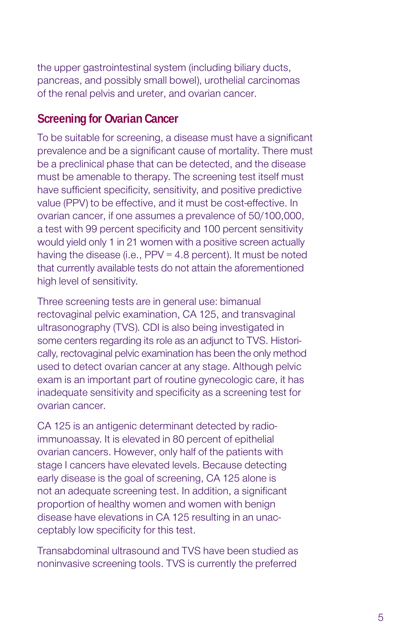the upper gastrointestinal system (including biliary ducts, pancreas, and possibly small bowel), urothelial carcinomas of the renal pelvis and ureter, and ovarian cancer.

### **Screening for Ovarian Cancer**

To be suitable for screening, a disease must have a significant prevalence and be a significant cause of mortality. There must be a preclinical phase that can be detected, and the disease must be amenable to therapy. The screening test itself must have sufficient specificity, sensitivity, and positive predictive value (PPV) to be effective, and it must be cost-effective. In ovarian cancer, if one assumes a prevalence of 50/100,000, a test with 99 percent specificity and 100 percent sensitivity would yield only 1 in 21 women with a positive screen actually having the disease (i.e., PPV = 4.8 percent). It must be noted that currently available tests do not attain the aforementioned high level of sensitivity.

Three screening tests are in general use: bimanual rectovaginal pelvic examination, CA�125, and transvaginal ultrasonography (TVS). CDI is also being investigated in some centers regarding its role as an adjunct to TVS. Historically, rectovaginal pelvic examination has been the only method used to detect ovarian cancer at any stage. Although pelvic exam is an important part of routine gynecologic care, it has inadequate sensitivity and specificity as a screening test for ovarian cancer.

CA 125 is an antigenic determinant detected by radioimmunoassay. It is elevated in 80 percent of epithelial ovarian cancers. However, only half of the patients with stage I cancers have elevated levels. Because detecting early disease is the goal of screening, CA 125 alone is not an adequate screening test. In addition, a significant proportion of healthy women and women with benign disease have elevations in CA 125 resulting in an unacceptably low specificity for this test.

Transabdominal ultrasound and TVS have been studied as noninvasive screening tools. TVS is currently the preferred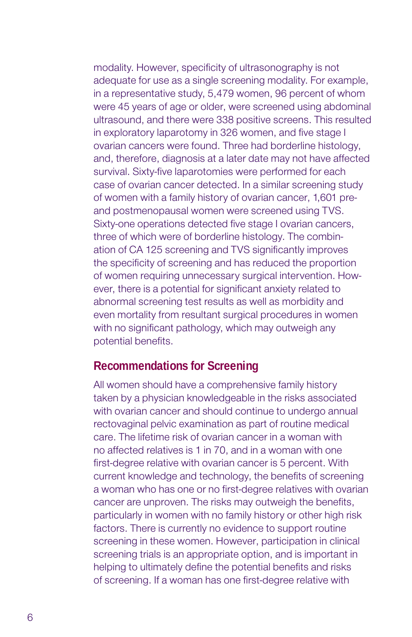modality. However, specificity of ultrasonography is not adequate for use as a single screening modality. For example, in a representative study, 5,479 women, 96 percent of whom were 45 years of age or older, were screened using abdominal ultrasound, and there were 338 positive screens. This resulted in exploratory laparotomy in 326 women, and five stage I ovarian cancers were found. Three had borderline histology, and, therefore, diagnosis at a later date may not have affected survival. Sixty-five laparotomies were performed for each case of ovarian cancer detected. In a similar screening study of women with a family history of ovarian cancer, 1,601 preand postmenopausal women were screened using TVS. Sixty-one operations detected five stage I ovarian cancers, three of which were of borderline histology. The combination of CA�125 screening and TVS significantly improves the specificity of screening and has reduced the proportion of women requiring unnecessary surgical intervention. However, there is a potential for significant anxiety related to abnormal screening test results as well as morbidity and even mortality from resultant surgical procedures in women with no significant pathology, which may outweigh any potential benefits.

### **Recommendations for Screening**

All women should have a comprehensive family history taken by a physician knowledgeable in the risks associated with ovarian cancer and should continue to undergo annual rectovaginal pelvic examination as part of routine medical care. The lifetime risk of ovarian cancer in a woman with no affected relatives is 1 in 70, and in a woman with one first-degree relative with ovarian cancer is 5 percent. With current knowledge and technology, the benefits of screening a woman who has one or no first-degree relatives with ovarian cancer are unproven. The risks may outweigh the benefits, particularly in women with no family history or other high risk factors. There is currently no evidence to support routine screening in these women. However, participation in clinical screening trials is an appropriate option, and is important in helping to ultimately define the potential benefits and risks of screening. If a woman has one first-degree relative with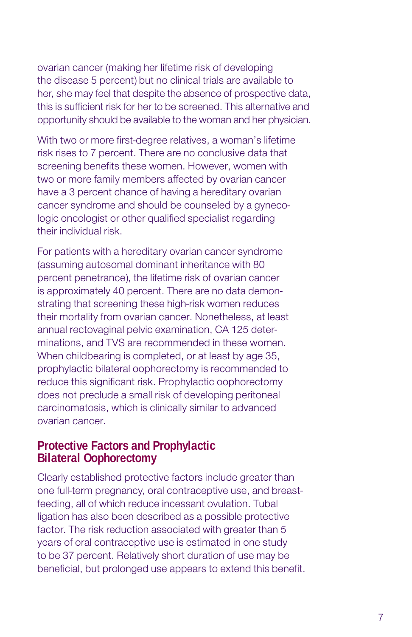ovarian cancer (making her lifetime risk of developing the disease 5 percent) but no clinical trials are available to her, she may feel that despite the absence of prospective data, this is sufficient risk for her to be screened. This alternative and opportunity should be available to the woman and her physician.

With two or more first-degree relatives, a woman's lifetime risk rises to 7 percent. There are no conclusive data that screening benefits these women. However, women with two or more family members affected by ovarian cancer have a 3 percent chance of having a hereditary ovarian cancer syndrome and should be counseled by a gynecologic oncologist or other qualified specialist regarding their individual risk.

For patients with a hereditary ovarian cancer syndrome (assuming autosomal dominant inheritance with 80 percent penetrance), the lifetime risk of ovarian cancer is approximately 40 percent. There are no data demonstrating that screening these high-risk women reduces their mortality from ovarian cancer. Nonetheless, at least annual rectovaginal pelvic examination, CA�125 determinations, and TVS are recommended in these women. When childbearing is completed, or at least by age 35, prophylactic bilateral oophorectomy is recommended to reduce this significant risk. Prophylactic oophorectomy does not preclude a small risk of developing peritoneal carcinomatosis, which is clinically similar to advanced ovarian cancer.

### **Protective Factors and Prophylactic Bilateral Oophorectomy**

Clearly established protective factors include greater than one full-term pregnancy, oral contraceptive use, and breastfeeding, all of which reduce incessant ovulation. Tubal ligation has also been described as a possible protective factor. The risk reduction associated with greater than 5 years of oral contraceptive use is estimated in one study to be 37 percent. Relatively short duration of use may be beneficial, but prolonged use appears to extend this benefit.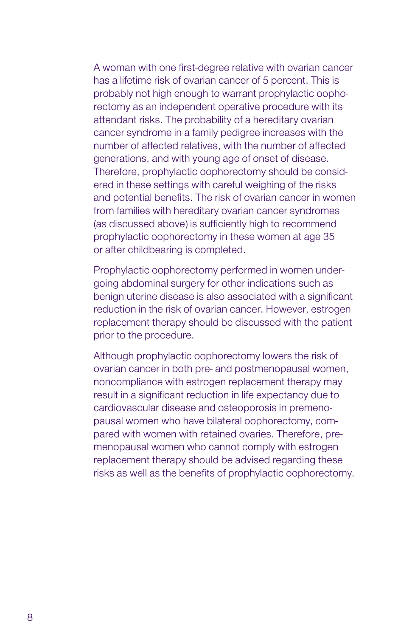A woman with one first-degree relative with ovarian cancer has a lifetime risk of ovarian cancer of 5 percent. This is probably not high enough to warrant prophylactic oophorectomy as an independent operative procedure with its attendant risks. The probability of a hereditary ovarian cancer syndrome in a family pedigree increases with the number of affected relatives, with the number of affected generations, and with young age of onset of disease. Therefore, prophylactic oophorectomy should be considered in these settings with careful weighing of the risks and potential benefits. The risk of ovarian cancer in women from families with hereditary ovarian cancer syndromes (as discussed above) is sufficiently high to recommend prophylactic oophorectomy in these women at age 35 or after childbearing is completed.

Prophylactic oophorectomy performed in women undergoing abdominal surgery for other indications such as benign uterine disease is also associated with a significant reduction in the risk of ovarian cancer. However, estrogen replacement therapy should be discussed with the patient prior to the procedure.

Although prophylactic oophorectomy lowers the risk of ovarian cancer in both pre- and postmenopausal women, noncompliance with estrogen replacement therapy may result in a significant reduction in life expectancy due to cardiovascular disease and osteoporosis in premenopausal women who have bilateral oophorectomy, compared with women with retained ovaries. Therefore, premenopausal women who cannot comply with estrogen replacement therapy should be advised regarding these risks as well as the benefits of prophylactic oophorectomy.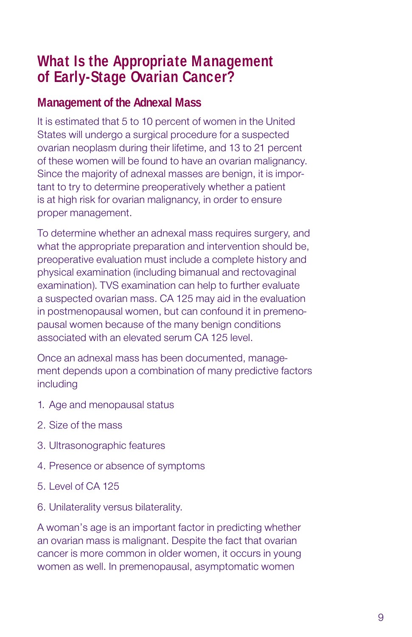### **What Is the Appropriate Management of Early-Stage Ovarian Cancer?**

### **Management of the Adnexal Mass**

It is estimated that 5 to 10 percent of women in the United States will undergo a surgical procedure for a suspected ovarian neoplasm during their lifetime, and 13 to 21 percent of these women will be found to have an ovarian malignancy. Since the majority of adnexal masses are benign, it is important to try to determine preoperatively whether a patient is at high risk for ovarian malignancy, in order to ensure proper management.

To determine whether an adnexal mass requires surgery, and what the appropriate preparation and intervention should be, preoperative evaluation must include a complete history and physical examination (including bimanual and rectovaginal examination). TVS examination can help to further evaluate a suspected ovarian mass. CA 125 may aid in the evaluation in postmenopausal women, but can confound it in premenopausal women because of the many benign conditions associated with an elevated serum CA 125 level.

Once an adnexal mass has been documented, management depends upon a combination of many predictive factors including

- 1. Age and menopausal status
- 2. Size of the mass
- 3. Ultrasonographic features
- 4. Presence or absence of symptoms
- 5. Level of CA 125
- 6. Unilaterality versus bilaterality.

A woman's age is an important factor in predicting whether an ovarian mass is malignant. Despite the fact that ovarian cancer is more common in older women, it occurs in young women as well. In premenopausal, asymptomatic women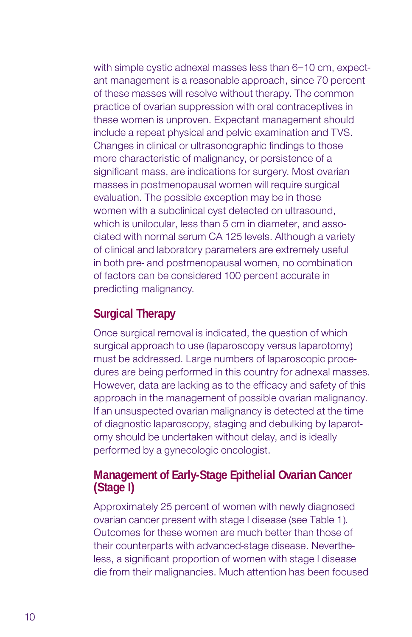with simple cystic adnexal masses less than 6–10 cm, expectant management is a reasonable approach, since 70 percent of these masses will resolve without therapy. The common practice of ovarian suppression with oral contraceptives in these women is unproven. Expectant management should include a repeat physical and pelvic examination and TVS. Changes in clinical or ultrasonographic findings to those more characteristic of malignancy, or persistence of a significant mass, are indications for surgery. Most ovarian masses in postmenopausal women will require surgical evaluation. The possible exception may be in those women with a subclinical cyst detected on ultrasound, which is unilocular, less than 5 cm in diameter, and associated with normal serum CA 125 levels. Although a variety of clinical and laboratory parameters are extremely useful in both pre- and postmenopausal women, no combination of factors can be considered 100 percent accurate in predicting malignancy.

### **Surgical Therapy**

Once surgical removal is indicated, the question of which surgical approach to use (laparoscopy versus laparotomy) must be addressed. Large numbers of laparoscopic procedures are being performed in this country for adnexal masses. However, data are lacking as to the efficacy and safety of this approach in the management of possible ovarian malignancy. If an unsuspected ovarian malignancy is detected at the time of diagnostic laparoscopy, staging and debulking by laparotomy should be undertaken without delay, and is ideally performed by a gynecologic oncologist.

### **Management of Early-Stage Epithelial Ovarian Cancer (Stage I)**

Approximately 25 percent of women with newly diagnosed ovarian cancer present with stage I disease (see Table 1). Outcomes for these women are much better than those of their counterparts with advanced-stage disease. Nevertheless, a significant proportion of women with stage I disease die from their malignancies. Much attention has been focused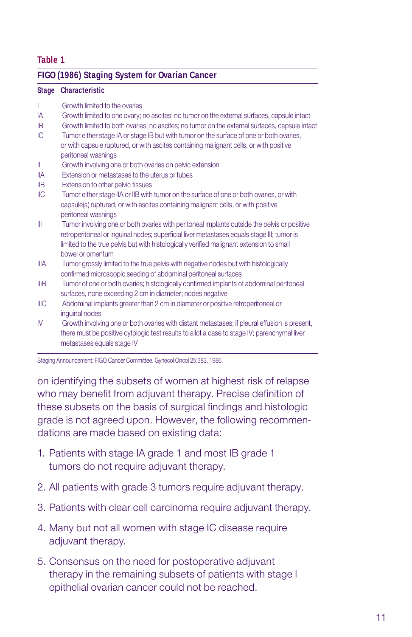#### **Table 1**

#### **FIGO (1986) Staging System for Ovarian Cancer**

#### **Stage Characteristic**

| L              | Growth limited to the ovaries                                                                                                                                                                                                                                                                             |
|----------------|-----------------------------------------------------------------------------------------------------------------------------------------------------------------------------------------------------------------------------------------------------------------------------------------------------------|
| IA             | Growth limited to one ovary; no ascites; no tumor on the external surfaces, capsule intact                                                                                                                                                                                                                |
| <b>IB</b>      | Growth limited to both ovaries; no ascites; no tumor on the external surfaces, capsule intact                                                                                                                                                                                                             |
| IС             | Tumor either stage IA or stage IB but with tumor on the surface of one or both ovaries,<br>or with capsule ruptured, or with ascites containing malignant cells, or with positive<br>peritoneal washings                                                                                                  |
| Ш              | Growth involving one or both ovaries on pelvic extension                                                                                                                                                                                                                                                  |
| <b>IIA</b>     | Extension or metastases to the uterus or tubes                                                                                                                                                                                                                                                            |
| $\mathsf{IIB}$ | Extension to other pelvic tissues                                                                                                                                                                                                                                                                         |
| $\mathsf{IIC}$ | Tumor either stage IIA or IIB with tumor on the surface of one or both ovaries, or with<br>capsule(s) ruptured, or with ascites containing malignant cells, or with positive<br>peritoneal washings                                                                                                       |
| Ш              | Tumor involving one or both ovaries with peritoneal implants outside the pelvis or positive<br>retroperitoneal or inguinal nodes; superficial liver metastases equals stage III; tumor is<br>limited to the true pelvis but with histologically verified malignant extension to small<br>bowel or omentum |
| <b>IIIA</b>    | Tumor grossly limited to the true pelvis with negative nodes but with histologically<br>confirmed microscopic seeding of abdominal peritoneal surfaces                                                                                                                                                    |
| IIIB           | Tumor of one or both ovaries; histologically confirmed implants of abdominal peritoneal<br>surfaces, none exceeding 2 cm in diameter; nodes negative                                                                                                                                                      |
| $III$          | Abdominal implants greater than 2 cm in diameter or positive retroperitoneal or<br>inquinal nodes                                                                                                                                                                                                         |
| IV.            | Growth involving one or both ovaries with distant metastases; if pleural effusion is present,<br>there must be positive cytologic test results to allot a case to stage IV; parenchymal liver<br>metastases equals stage IV                                                                               |

Staging Announcement: FIGO Cancer Committee. Gynecol Oncol 25:383, 1986.

on identifying the subsets of women at highest risk of relapse who may benefit from adjuvant therapy. Precise definition of these subsets on the basis of surgical findings and histologic grade is not agreed upon. However, the following recommendations are made based on existing data:

- 1. Patients with stage IA grade 1 and most IB grade 1 tumors do not require adjuvant therapy.
- 2. All patients with grade 3 tumors require adjuvant therapy.
- 3. Patients with clear cell carcinoma require adjuvant therapy.
- 4. Many but not all women with stage IC disease require adjuvant therapy.
- 5. Consensus on the need for postoperative adjuvant therapy in the remaining subsets of patients with stage I epithelial ovarian cancer could not be reached.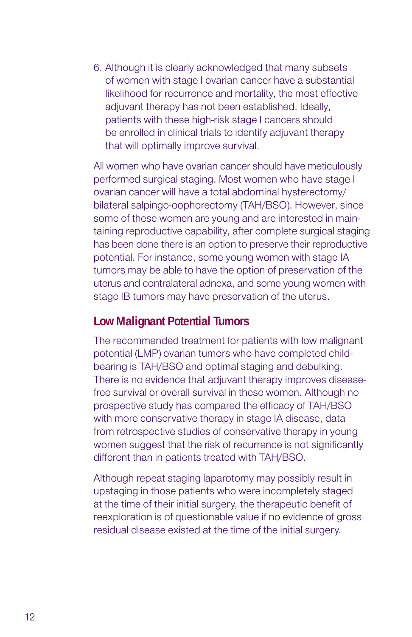6. Although it is clearly acknowledged that many subsets of women with stage I ovarian cancer have a substantial likelihood for recurrence and mortality, the most effective adjuvant therapy has not been established. Ideally, patients with these high-risk stage I cancers should be enrolled in clinical trials to identify adjuvant therapy that will optimally improve survival.

All women who have ovarian cancer should have meticulously performed surgical staging. Most women who have stage I ovarian cancer will have a total abdominal hysterectomy/ bilateral salpingo-oophorectomy (TAH/BSO). However, since some of these women are young and are interested in maintaining reproductive capability, after complete surgical staging has been done there is an option to preserve their reproductive potential. For instance, some young women with stage IA tumors may be able to have the option of preservation of the uterus and contralateral adnexa, and some young women with stage IB tumors may have preservation of the uterus.

### **Low Malignant Potential Tumors**

The recommended treatment for patients with low malignant potential (LMP) ovarian tumors who have completed childbearing is TAH/BSO and optimal staging and debulking. There is no evidence that adjuvant therapy improves diseasefree survival or overall survival in these women. Although no prospective study has compared the efficacy of TAH/BSO with more conservative therapy in stage IA disease, data from retrospective studies of conservative therapy in young women suggest that the risk of recurrence is not significantly different than in patients treated with TAH/BSO.

Although repeat staging laparotomy may possibly result in upstaging in those patients who were incompletely staged at the time of their initial surgery, the therapeutic benefit of reexploration is of questionable value if no evidence of gross residual disease existed at the time of the initial surgery.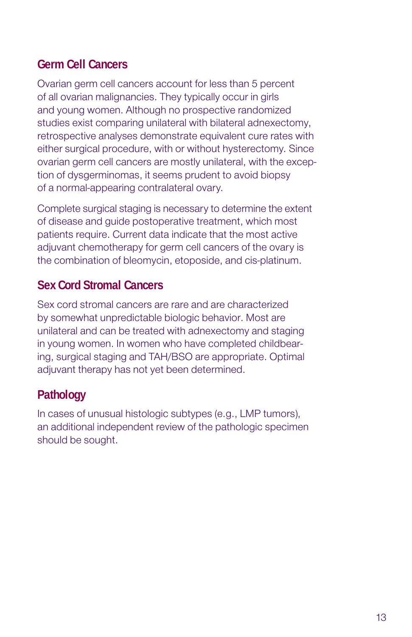### **Germ Cell Cancers**

Ovarian germ cell cancers account for less than 5 percent of all ovarian malignancies. They typically occur in girls and young women. Although no prospective randomized studies exist comparing unilateral with bilateral adnexectomy, retrospective analyses demonstrate equivalent cure rates with either surgical procedure, with or without hysterectomy. Since ovarian germ cell cancers are mostly unilateral, with the exception of dysgerminomas, it seems prudent to avoid biopsy of a normal-appearing contralateral ovary.

Complete surgical staging is necessary to determine the extent of disease and guide postoperative treatment, which most patients require. Current data indicate that the most active adjuvant chemotherapy for germ cell cancers of the ovary is the combination of bleomycin, etoposide, and cis-platinum.

### **Sex Cord Stromal Cancers**

Sex cord stromal cancers are rare and are characterized by somewhat unpredictable biologic behavior. Most are unilateral and can be treated with adnexectomy and staging in young women. In women who have completed childbearing, surgical staging and TAH/BSO are appropriate. Optimal adjuvant therapy has not yet been determined.

### **Pathology**

In cases of unusual histologic subtypes (e.g., LMP tumors), an additional independent review of the pathologic specimen should be sought.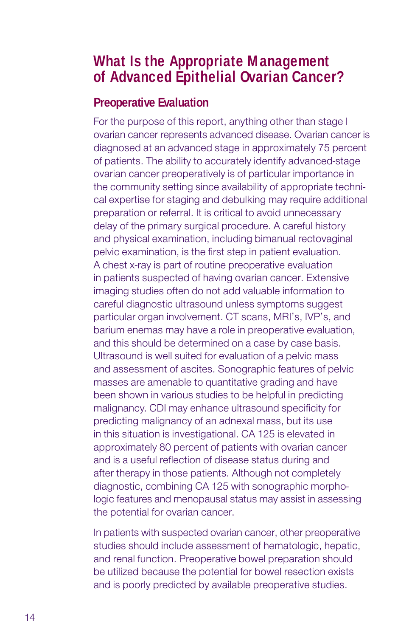### **What Is the Appropriate Management of Advanced Epithelial Ovarian Cancer?**

### **Preoperative Evaluation**

For the purpose of this report, anything other than stage I ovarian cancer represents advanced disease. Ovarian cancer is diagnosed at an advanced stage in approximately 75 percent of patients. The ability to accurately identify advanced-stage ovarian cancer preoperatively is of particular importance in the community setting since availability of appropriate technical expertise for staging and debulking may require additional preparation or referral. It is critical to avoid unnecessary delay of the primary surgical procedure. A careful history and physical examination, including bimanual rectovaginal pelvic examination, is the first step in patient evaluation. A chest x-ray is part of routine preoperative evaluation in patients suspected of having ovarian cancer. Extensive imaging studies often do not add valuable information to careful diagnostic ultrasound unless symptoms suggest particular organ involvement. CT scans, MRI's, IVP's, and barium enemas may have a role in preoperative evaluation, and this should be determined on a case by case basis. Ultrasound is well suited for evaluation of a pelvic mass and assessment of ascites. Sonographic features of pelvic masses are amenable to quantitative grading and have been shown in various studies to be helpful in predicting malignancy. CDI may enhance ultrasound specificity for predicting malignancy of an adnexal mass, but its use in this situation is investigational. CA 125 is elevated in approximately 80 percent of patients with ovarian cancer and is a useful reflection of disease status during and after therapy in those patients. Although not completely diagnostic, combining CA 125 with sonographic morphologic features and menopausal status may assist in assessing the potential for ovarian cancer.

In patients with suspected ovarian cancer, other preoperative studies should include assessment of hematologic, hepatic, and renal function. Preoperative bowel preparation should be utilized because the potential for bowel resection exists and is poorly predicted by available preoperative studies.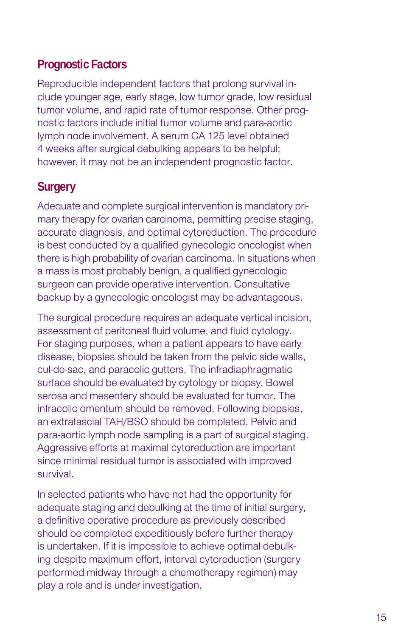### **Prognostic Factors**

Reproducible independent factors that prolong survival include younger age, early stage, low tumor grade, low residual tumor volume, and rapid rate of tumor response. Other prognostic factors include initial tumor volume and para-aortic lymph node involvement. A serum CA 125 level obtained 4 weeks after surgical debulking appears to be helpful; however, it may not be an independent prognostic factor.

### **Surgery**

Adequate and complete surgical intervention is mandatory primary therapy for ovarian carcinoma, permitting precise staging, accurate diagnosis, and optimal cytoreduction. The procedure is best conducted by a qualified gynecologic oncologist when there is high probability of ovarian carcinoma. In situations when a mass is most probably benign, a qualified gynecologic surgeon can provide operative intervention. Consultative backup by a gynecologic oncologist may be advantageous.

The surgical procedure requires an adequate vertical incision, assessment of peritoneal fluid volume, and fluid cytology. For staging purposes, when a patient appears to have early disease, biopsies should be taken from the pelvic side walls, cul-de-sac, and paracolic gutters. The infradiaphragmatic surface should be evaluated by cytology or biopsy. Bowel serosa and mesentery should be evaluated for tumor. The infracolic omentum should be removed. Following biopsies, an extrafascial TAH/BSO should be completed. Pelvic and para-aortic lymph node sampling is a part of surgical staging. Aggressive efforts at maximal cytoreduction are important since minimal residual tumor is associated with improved survival.

In selected patients who have not had the opportunity for adequate staging and debulking at the time of initial surgery, a definitive operative procedure as previously described should be completed expeditiously before further therapy is undertaken. If it is impossible to achieve optimal debulking despite maximum effort, interval cytoreduction (surgery performed midway through a chemotherapy regimen) may play a role and is under investigation.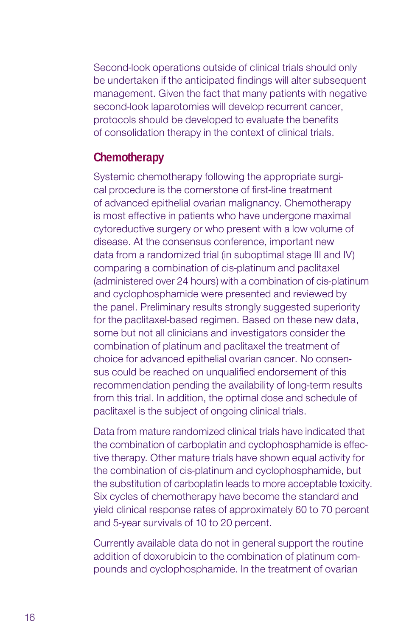Second-look operations outside of clinical trials should only be undertaken if the anticipated findings will alter subsequent management. Given the fact that many patients with negative second-look laparotomies will develop recurrent cancer, protocols should be developed to evaluate the benefits of consolidation therapy in the context of clinical trials.

### **Chemotherapy**

Systemic chemotherapy following the appropriate surgical procedure is the cornerstone of first-line treatment of advanced epithelial ovarian malignancy. Chemotherapy is most effective in patients who have undergone maximal cytoreductive surgery or who present with a low volume of disease. At the consensus conference, important new data from a randomized trial (in suboptimal stage III and IV) comparing a combination of cis-platinum and paclitaxel (administered over 24 hours) with a combination of cis-platinum and cyclophosphamide were presented and reviewed by the panel. Preliminary results strongly suggested superiority for the paclitaxel-based regimen. Based on these new data, some but not all clinicians and investigators consider the combination of platinum and paclitaxel the treatment of choice for advanced epithelial ovarian cancer. No consensus could be reached on unqualified endorsement of this recommendation pending the availability of long-term results from this trial. In addition, the optimal dose and schedule of paclitaxel is the subject of ongoing clinical trials.

Data from mature randomized clinical trials have indicated that the combination of carboplatin and cyclophosphamide is effective therapy. Other mature trials have shown equal activity for the combination of cis-platinum and cyclophosphamide, but the substitution of carboplatin leads to more acceptable toxicity. Six cycles of chemotherapy have become the standard and yield clinical response rates of approximately 60 to 70 percent and 5-year survivals of 10 to 20 percent.

Currently available data do not in general support the routine addition of doxorubicin to the combination of platinum compounds and cyclophosphamide. In the treatment of ovarian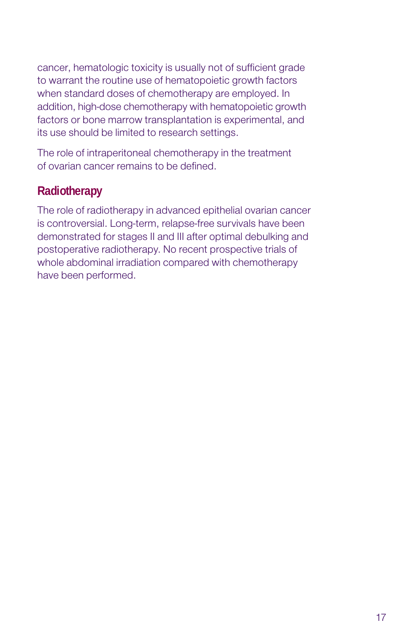cancer, hematologic toxicity is usually not of sufficient grade to warrant the routine use of hematopoietic growth factors when standard doses of chemotherapy are employed. In addition, high-dose chemotherapy with hematopoietic growth factors or bone marrow transplantation is experimental, and its use should be limited to research settings.

The role of intraperitoneal chemotherapy in the treatment of ovarian cancer remains to be defined.

### **Radiotherapy**

The role of radiotherapy in advanced epithelial ovarian cancer is controversial. Long-term, relapse-free survivals have been demonstrated for stages II and III after optimal debulking and postoperative radiotherapy. No recent prospective trials of whole abdominal irradiation compared with chemotherapy have been performed.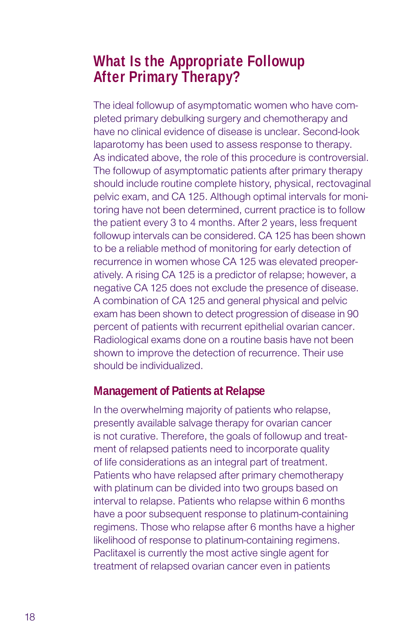### **What Is the Appropriate Followup After Primary Therapy?**

The ideal followup of asymptomatic women who have completed primary debulking surgery and chemotherapy and have no clinical evidence of disease is unclear. Second-look laparotomy has been used to assess response to therapy. As indicated above, the role of this procedure is controversial. The followup of asymptomatic patients after primary therapy should include routine complete history, physical, rectovaginal pelvic exam, and CA�125. Although optimal intervals for monitoring have not been determined, current practice is to follow the patient every 3 to 4 months. After 2 years, less frequent followup intervals can be considered. CA 125 has been shown to be a reliable method of monitoring for early detection of recurrence in women whose CA 125 was elevated preoperatively. A rising CA 125 is a predictor of relapse; however, a negative CA 125 does not exclude the presence of disease. A combination of CA 125 and general physical and pelvic exam has been shown to detect progression of disease in 90 percent of patients with recurrent epithelial ovarian cancer. Radiological exams done on a routine basis have not been shown to improve the detection of recurrence. Their use should be individualized.

### **Management of Patients at Relapse**

In the overwhelming majority of patients who relapse, presently available salvage therapy for ovarian cancer is not curative. Therefore, the goals of followup and treatment of relapsed patients need to incorporate quality of life considerations as an integral part of treatment. Patients who have relapsed after primary chemotherapy with platinum can be divided into two groups based on interval to relapse. Patients who relapse within 6 months have a poor subsequent response to platinum-containing regimens. Those who relapse after 6 months have a higher likelihood of response to platinum-containing regimens. Paclitaxel is currently the most active single agent for treatment of relapsed ovarian cancer even in patients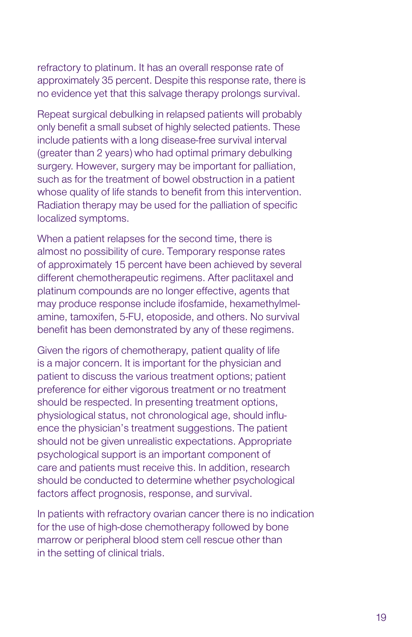refractory to platinum. It has an overall response rate of approximately 35 percent. Despite this response rate, there is no evidence yet that this salvage therapy prolongs survival.

Repeat surgical debulking in relapsed patients will probably only benefit a small subset of highly selected patients. These include patients with a long disease-free survival interval (greater than 2 years) who had optimal primary debulking surgery. However, surgery may be important for palliation, such as for the treatment of bowel obstruction in a patient whose quality of life stands to benefit from this intervention. Radiation therapy may be used for the palliation of specific localized symptoms.

When a patient relapses for the second time, there is almost no possibility of cure. Temporary response rates of approximately 15 percent have been achieved by several different chemotherapeutic regimens. After paclitaxel and platinum compounds are no longer effective, agents that may produce response include ifosfamide, hexamethylmelamine, tamoxifen, 5-FU, etoposide, and others. No survival benefit has been demonstrated by any of these regimens.

Given the rigors of chemotherapy, patient quality of life is a major concern. It is important for the physician and patient to discuss the various treatment options; patient preference for either vigorous treatment or no treatment should be respected. In presenting treatment options, physiological status, not chronological age, should influence the physician's treatment suggestions. The patient should not be given unrealistic expectations. Appropriate psychological support is an important component of care and patients must receive this. In addition, research should be conducted to determine whether psychological factors affect prognosis, response, and survival.

In patients with refractory ovarian cancer there is no indication for the use of high-dose chemotherapy followed by bone marrow or peripheral blood stem cell rescue other than in the setting of clinical trials.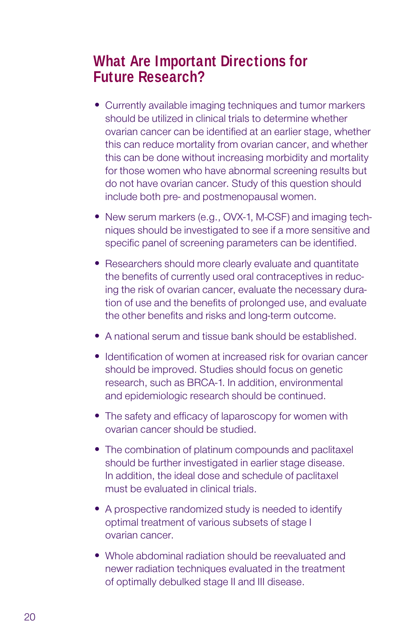### **What Are Important Directions for Future Research?**

- **•** Currently available imaging techniques and tumor markers should be utilized in clinical trials to determine whether ovarian cancer can be identified at an earlier stage, whether this can reduce mortality from ovarian cancer, and whether this can be done without increasing morbidity and mortality for those women who have abnormal screening results but do not have ovarian cancer. Study of this question should include both pre- and postmenopausal women.
- New serum markers (e.g., OVX-1, M-CSF) and imaging techniques should be investigated to see if a more sensitive and specific panel of screening parameters can be identified.
- Researchers should more clearly evaluate and quantitate the benefits of currently used oral contraceptives in reducing the risk of ovarian cancer, evaluate the necessary duration of use and the benefits of prolonged use, and evaluate the other benefits and risks and long-term outcome.
- **•** A national serum and tissue bank should be established.
- Identification of women at increased risk for ovarian cancer should be improved. Studies should focus on genetic research, such as BRCA-1. In addition, environmental and epidemiologic research should be continued.
- The safety and efficacy of laparoscopy for women with ovarian cancer should be studied.
- The combination of platinum compounds and paclitaxel should be further investigated in earlier stage disease. In addition, the ideal dose and schedule of paclitaxel must be evaluated in clinical trials.
- **•** A prospective randomized study is needed to identify optimal treatment of various subsets of stage I ovarian cancer.
- Whole abdominal radiation should be reevaluated and newer radiation techniques evaluated in the treatment of optimally debulked stage II and III disease.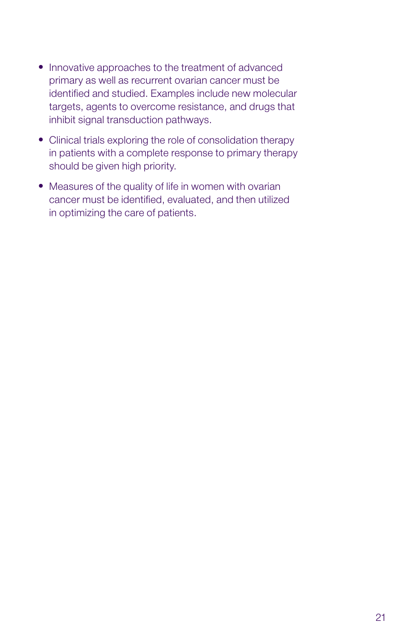- Innovative approaches to the treatment of advanced primary as well as recurrent ovarian cancer must be identified and studied. Examples include new molecular targets, agents to overcome resistance, and drugs that inhibit signal transduction pathways.
- Clinical trials exploring the role of consolidation therapy in patients with a complete response to primary therapy should be given high priority.
- Measures of the quality of life in women with ovarian cancer must be identified, evaluated, and then utilized in optimizing the care of patients.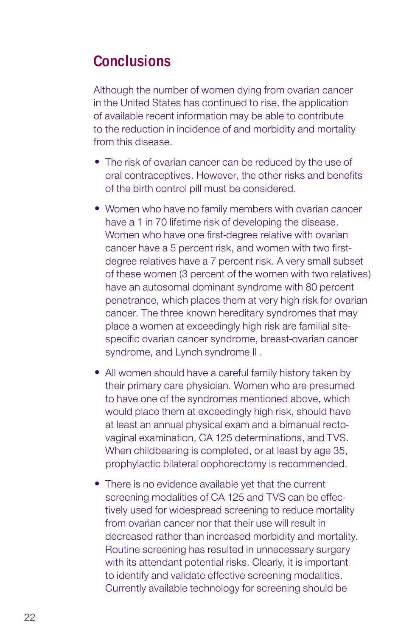### **Conclusions**

Although the number of women dying from ovarian cancer in the United States has continued to rise, the application of available recent information may be able to contribute to the reduction in incidence of and morbidity and mortality from this disease.

- The risk of ovarian cancer can be reduced by the use of oral contraceptives. However, the other risks and benefits of the birth control pill must be considered.
- **•** Women who have no family members with ovarian cancer have a 1 in 70 lifetime risk of developing the disease. Women who have one first-degree relative with ovarian cancer have a 5 percent risk, and women with two firstdegree relatives have a 7 percent risk. A very small subset of these women (3 percent of the women with two relatives) have an autosomal dominant syndrome with 80 percent penetrance, which places them at very high risk for ovarian cancer. The three known hereditary syndromes that may place a women at exceedingly high risk are familial sitespecific ovarian cancer syndrome, breast-ovarian cancer syndrome, and Lynch syndrome II .
- **•** All women should have a careful family history taken by their primary care physician. Women who are presumed to have one of the syndromes mentioned above, which would place them at exceedingly high risk, should have at least an annual physical exam and a bimanual rectovaginal examination, CA 125 determinations, and TVS. When childbearing is completed, or at least by age 35, prophylactic bilateral oophorectomy is recommended.
- There is no evidence available yet that the current screening modalities of CA 125 and TVS can be effectively used for widespread screening to reduce mortality from ovarian cancer nor that their use will result in decreased rather than increased morbidity and mortality. Routine screening has resulted in unnecessary surgery with its attendant potential risks. Clearly, it is important to identify and validate effective screening modalities. Currently available technology for screening should be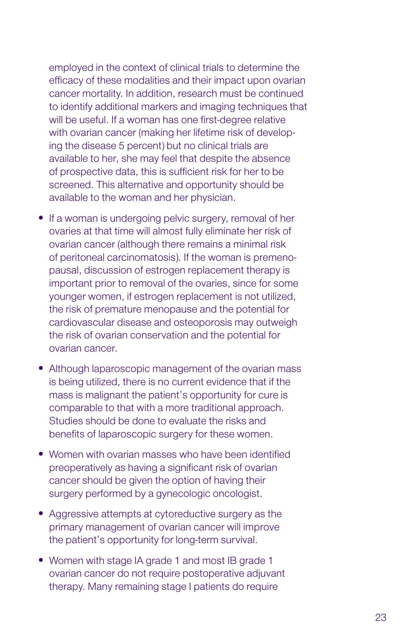employed in the context of clinical trials to determine the efficacy of these modalities and their impact upon ovarian cancer mortality. In addition, research must be continued to identify additional markers and imaging techniques that will be useful. If a woman has one first-degree relative with ovarian cancer (making her lifetime risk of developing the disease 5 percent) but no clinical trials are available to her, she may feel that despite the absence of prospective data, this is sufficient risk for her to be screened. This alternative and opportunity should be available to the woman and her physician.

- If a woman is undergoing pelvic surgery, removal of her ovaries at that time will almost fully eliminate her risk of ovarian cancer (although there remains a minimal risk of peritoneal carcinomatosis). If the woman is premenopausal, discussion of estrogen replacement therapy is important prior to removal of the ovaries, since for some younger women, if estrogen replacement is not utilized, the risk of premature menopause and the potential for cardiovascular disease and osteoporosis may outweigh the risk of ovarian conservation and the potential for ovarian cancer.
- Although laparoscopic management of the ovarian mass is being utilized, there is no current evidence that if the mass is malignant the patient's opportunity for cure is comparable to that with a more traditional approach. Studies should be done to evaluate the risks and benefits of laparoscopic surgery for these women.
- Women with ovarian masses who have been identified preoperatively as having a significant risk of ovarian cancer should be given the option of having their surgery performed by a gynecologic oncologist.
- Aggressive attempts at cytoreductive surgery as the primary management of ovarian cancer will improve the patient's opportunity for long-term survival.
- Women with stage IA grade 1 and most IB grade 1 ovarian cancer do not require postoperative adjuvant therapy. Many remaining stage I patients do require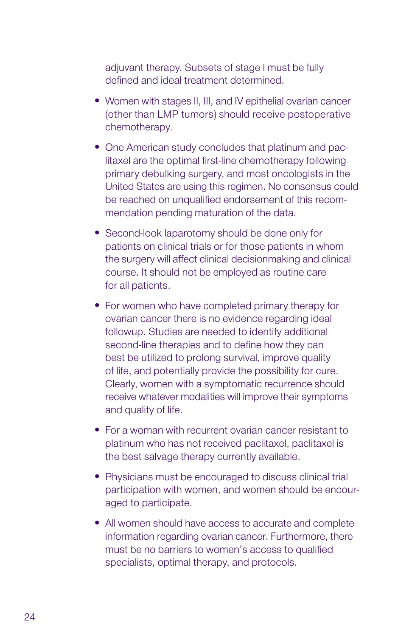adjuvant therapy. Subsets of stage I must be fully defined and ideal treatment determined.

- Women with stages II, III, and IV epithelial ovarian cancer (other than LMP tumors) should receive postoperative chemotherapy.
- One American study concludes that platinum and paclitaxel are the optimal first-line chemotherapy following primary debulking surgery, and most oncologists in the United States are using this regimen. No consensus could be reached on unqualified endorsement of this recommendation pending maturation of the data.
- Second-look laparotomy should be done only for patients on clinical trials or for those patients in whom the surgery will affect clinical decisionmaking and clinical course. It should not be employed as routine care for all patients.
- For women who have completed primary therapy for ovarian cancer there is no evidence regarding ideal followup. Studies are needed to identify additional second-line therapies and to define how they can best be utilized to prolong survival, improve quality of life, and potentially provide the possibility for cure. Clearly, women with a symptomatic recurrence should receive whatever modalities will improve their symptoms and quality of life.
- For a woman with recurrent ovarian cancer resistant to platinum who has not received paclitaxel, paclitaxel is the best salvage therapy currently available.
- Physicians must be encouraged to discuss clinical trial participation with women, and women should be encouraged to participate.
- All women should have access to accurate and complete information regarding ovarian cancer. Furthermore, there must be no barriers to women's access to qualified specialists, optimal therapy, and protocols.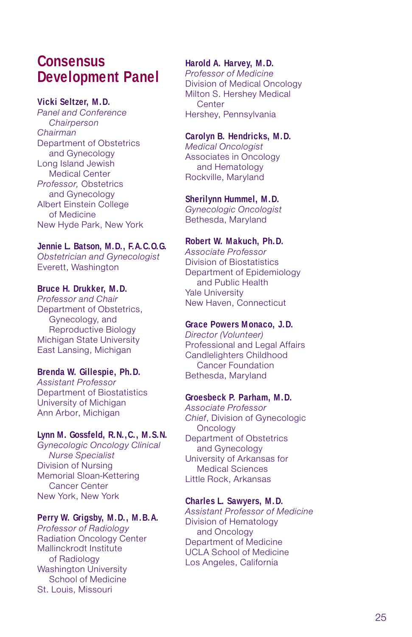### **Consensus Development Panel**

#### **Vicki Seltzer, M.D.**

Panel and Conference **Chairperson** Chairman Department of Obstetrics and Gynecology Long Island Jewish Medical Center Professor, Obstetrics and Gynecology Albert Einstein College of Medicine New Hyde Park, New York

#### **Jennie L. Batson, M.D., F.A.C.O.G.**

Obstetrician and Gynecologist Everett, Washington

#### **Bruce H. Drukker, M.D.**  Professor and Chair Department of Obstetrics, Gynecology, and Reproductive Biology Michigan State University East Lansing, Michigan

#### **Brenda W. Gillespie, Ph.D.**

Assistant Professor Department of Biostatistics University of Michigan Ann Arbor, Michigan

#### **Lynn M. Gossfeld, R.N.,C., M.S.N.**

Gynecologic Oncology Clinical Nurse Specialist Division of Nursing Memorial Sloan-Kettering Cancer Center New York, New York

#### **Perry W. Grigsby, M.D., M.B.A.**

Professor of Radiology Radiation Oncology Center Mallinckrodt Institute of Radiology Washington University School of Medicine St. Louis, Missouri

#### **Harold A. Harvey, M.D.**

Professor of Medicine Division of Medical Oncology Milton S. Hershey Medical **Center** Hershey, Pennsylvania

#### **Carolyn B. Hendricks, M.D.**

Medical Oncologist Associates in Oncology and Hematology Rockville, Maryland

#### **Sherilynn Hummel, M.D.**

Gynecologic Oncologist Bethesda, Maryland

#### **Robert W. Makuch, Ph.D.**

Associate Professor Division of Biostatistics Department of Epidemiology and Public Health Yale University New Haven, Connecticut

#### **Grace Powers Monaco, J.D.**

Director (Volunteer) Professional and Legal Affairs Candlelighters Childhood Cancer Foundation Bethesda, Maryland

#### **Groesbeck P. Parham, M.D.**

Associate Professor Chief, Division of Gynecologic **Oncology** Department of Obstetrics and Gynecology University of Arkansas for Medical Sciences Little Rock, Arkansas

#### **Charles L. Sawyers, M.D.**

Assistant Professor of Medicine Division of Hematology and Oncology Department of Medicine UCLA School of Medicine Los Angeles, California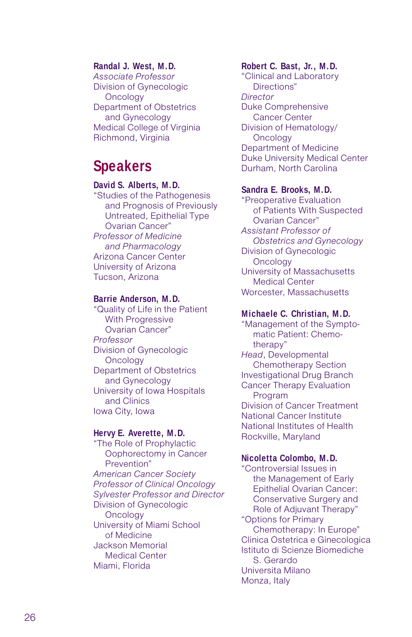#### **Randal J. West, M.D.**

Associate Professor Division of Gynecologic **Oncology** Department of Obstetrics and Gynecology Medical College of Virginia Richmond, Virginia

### **Speakers**

#### **David S. Alberts, M.D.**

"Studies of the Pathogenesis and Prognosis of Previously Untreated, Epithelial Type Ovarian Cancer" Professor of Medicine and Pharmacology Arizona Cancer Center University of Arizona Tucson, Arizona

#### **Barrie Anderson, M.D.**

"Quality of Life in the Patient With Progressive Ovarian Cancer" Professor Division of Gynecologic **Oncology** Department of Obstetrics and Gynecology University of Iowa Hospitals and Clinics Iowa City, Iowa

#### **Hervy E. Averette, M.D.**

"The Role of Prophylactic Oophorectomy in Cancer Prevention" American Cancer Society Professor of Clinical Oncology Sylvester Professor and Director Division of Gynecologic **Oncology** University of Miami School of Medicine Jackson Memorial Medical Center Miami, Florida

#### **Robert C. Bast, Jr., M.D.**

"Clinical and Laboratory Directions" **Director** Duke Comprehensive Cancer Center Division of Hematology/ **Oncology** Department of Medicine Duke University Medical Center Durham, North Carolina

#### **Sandra E. Brooks, M.D.**

"Preoperative Evaluation of Patients With Suspected Ovarian Cancer" Assistant Professor of Obstetrics and Gynecology Division of Gynecologic **Oncology** University of Massachusetts Medical Center Worcester, Massachusetts

#### **Michaele C. Christian, M.D.**

"Management of the Symptomatic Patient: Chemotherapy" Head, Developmental Chemotherapy Section Investigational Drug Branch Cancer Therapy Evaluation Program Division of Cancer Treatment National Cancer Institute National Institutes of Health Rockville, Maryland

#### **Nicoletta Colombo, M.D.**

"Controversial Issues in the Management of Early Epithelial Ovarian Cancer: Conservative Surgery and Role of Adjuvant Therapy" "Options for Primary Chemotherapy: In Europe" Clinica Ostetrica e Ginecologica Istituto di Scienze Biomediche S. Gerardo Universita Milano Monza, Italy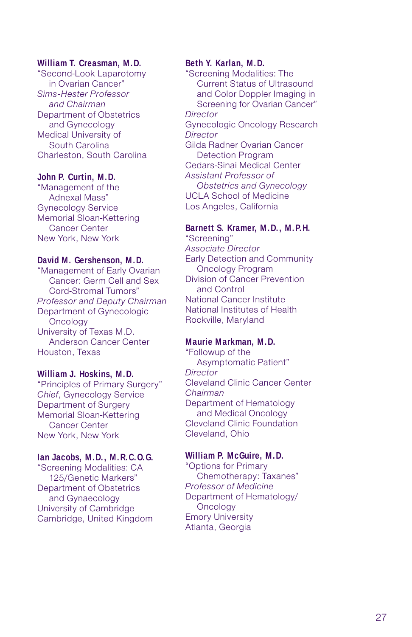#### **William T. Creasman, M.D.**

"Second-Look Laparotomy in Ovarian Cancer" Sims-Hester Professor and Chairman Department of Obstetrics and Gynecology Medical University of South Carolina Charleston, South Carolina

#### **John P. Curtin, M.D.**

"Management of the Adnexal Mass" Gynecology Service Memorial Sloan-Kettering Cancer Center New York, New York

#### **David M. Gershenson, M.D.**

"Management of Early Ovarian Cancer: Germ Cell and Sex Cord-Stromal Tumors" Professor and Deputy Chairman Department of Gynecologic **Oncology** University of Texas M.D. Anderson Cancer Center Houston, Texas

#### **William J. Hoskins, M.D.**

"Principles of Primary Surgery" Chief, Gynecology Service Department of Surgery Memorial Sloan-Kettering Cancer Center New York, New York

#### **Ian Jacobs, M.D., M.R.C.O.G.**

"Screening Modalities: CA� 125/Genetic Markers" Department of Obstetrics and Gynaecology University of Cambridge Cambridge, United Kingdom

#### **Beth Y. Karlan, M.D.**

"Screening Modalities: The Current Status of Ultrasound and Color Doppler Imaging in Screening for Ovarian Cancer" **Director** Gynecologic Oncology Research **Director** Gilda Radner Ovarian Cancer Detection Program Cedars-Sinai Medical Center Assistant Professor of Obstetrics and Gynecology UCLA School of Medicine Los Angeles, California

#### **Barnett S. Kramer, M.D., M.P.H.**

"Screening" Associate Director Early Detection and Community Oncology Program Division of Cancer Prevention and Control National Cancer Institute National Institutes of Health Rockville, Maryland

#### **Maurie Markman, M.D.**

"Followup of the Asymptomatic Patient" **Director** Cleveland Clinic Cancer Center Chairman Department of Hematology and Medical Oncology Cleveland Clinic Foundation Cleveland, Ohio

#### **William P. McGuire, M.D.**

"Options for Primary Chemotherapy: Taxanes" Professor of Medicine Department of Hematology/ **Oncology** Emory University Atlanta, Georgia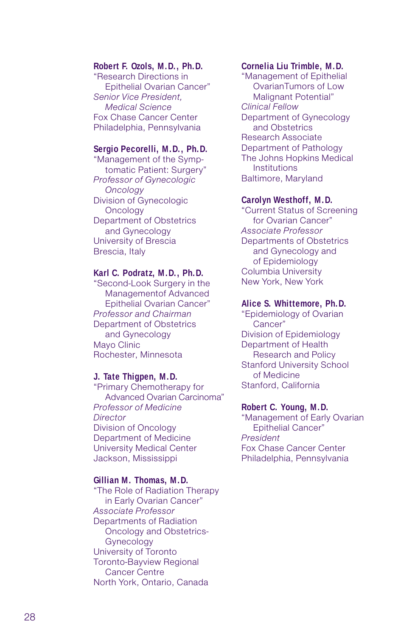#### **Robert F. Ozols, M.D., Ph.D.**

"Research Directions in Epithelial Ovarian Cancer" Senior Vice President, Medical Science Fox Chase Cancer Center Philadelphia, Pennsylvania

#### **Sergio Pecorelli, M.D., Ph.D.**

"Management of the Symptomatic Patient: Surgery" Professor of Gynecologic **Oncology** Division of Gynecologic **Oncology** Department of Obstetrics and Gynecology University of Brescia Brescia, Italy

#### **Karl C. Podratz, M.D., Ph.D.**

"Second-Look Surgery in the Managementof Advanced Epithelial Ovarian Cancer" Professor and Chairman Department of Obstetrics and Gynecology Mayo Clinic Rochester, Minnesota

#### **J. Tate Thigpen, M.D.**

"Primary Chemotherapy for Advanced Ovarian Carcinoma" Professor of Medicine **Director** Division of Oncology Department of Medicine University Medical Center Jackson, Mississippi

#### **Gillian M. Thomas, M.D.**

"The Role of Radiation Therapy in Early Ovarian Cancer" Associate Professor Departments of Radiation Oncology and Obstetrics-Gynecology University of Toronto Toronto-Bayview Regional Cancer Centre North York, Ontario, Canada

#### **Cornelia Liu Trimble, M.D.**

"Management of Epithelial OvarianTumors of Low Malignant Potential" Clinical Fellow Department of Gynecology and Obstetrics Research Associate Department of Pathology The Johns Hopkins Medical Institutions Baltimore, Maryland

#### **Carolyn Westhoff, M.D.**

"Current Status of Screening for Ovarian Cancer" Associate Professor Departments of Obstetrics and Gynecology and of Epidemiology Columbia University New York, New York

#### **Alice S. Whittemore, Ph.D.**

"Epidemiology of Ovarian Cancer" Division of Epidemiology Department of Health Research and Policy Stanford University School of Medicine Stanford, California

#### **Robert C. Young, M.D.**

"Management of Early Ovarian Epithelial Cancer" President Fox Chase Cancer Center Philadelphia, Pennsylvania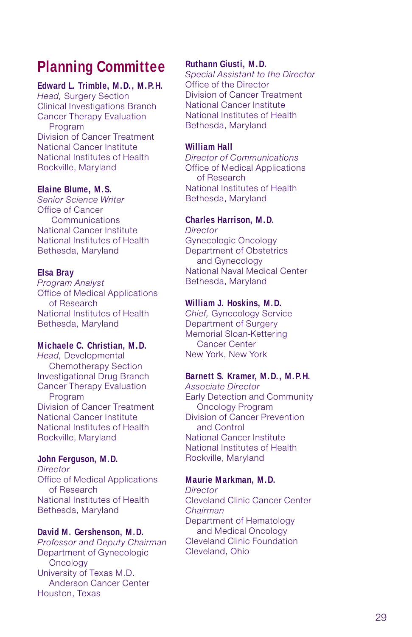## **Planning Committee**

#### **Edward L. Trimble, M.D., M.P.H.**

Head, Surgery Section Clinical Investigations Branch Cancer Therapy Evaluation Program Division of Cancer Treatment National Cancer Institute National Institutes of Health Rockville, Maryland

#### **Elaine Blume, M.S.**

Senior Science Writer Office of Cancer Communications National Cancer Institute National Institutes of Health Bethesda, Maryland

#### **Elsa Bray**

Program Analyst Office of Medical Applications of Research National Institutes of Health Bethesda, Maryland

#### **Michaele C. Christian, M.D.**

Head, Developmental Chemotherapy Section Investigational Drug Branch Cancer Therapy Evaluation Program Division of Cancer Treatment National Cancer Institute National Institutes of Health Rockville, Maryland

#### **John Ferguson, M.D.**

**Director** Office of Medical Applications of Research National Institutes of Health Bethesda, Maryland

#### **David M. Gershenson, M.D.**

Professor and Deputy Chairman Department of Gynecologic **Oncology** University of Texas M.D. Anderson Cancer Center Houston, Texas

#### **Ruthann Giusti, M.D.**

Special Assistant to the Director Office of the Director Division of Cancer Treatment National Cancer Institute National Institutes of Health Bethesda, Maryland

#### **William Hall**

Director of Communications Office of Medical Applications of Research National Institutes of Health Bethesda, Maryland

#### **Charles Harrison, M.D.**

**Director** Gynecologic Oncology Department of Obstetrics and Gynecology National Naval Medical Center Bethesda, Maryland

#### **William J. Hoskins, M.D.**

Chief, Gynecology Service Department of Surgery Memorial Sloan-Kettering Cancer Center New York, New York

#### **Barnett S. Kramer, M.D., M.P.H.**

Associate Director Early Detection and Community Oncology Program Division of Cancer Prevention and Control National Cancer Institute National Institutes of Health Rockville, Maryland

#### **Maurie Markman, M.D.**

**Director** Cleveland Clinic Cancer Center Chairman Department of Hematology and Medical Oncology Cleveland Clinic Foundation Cleveland, Ohio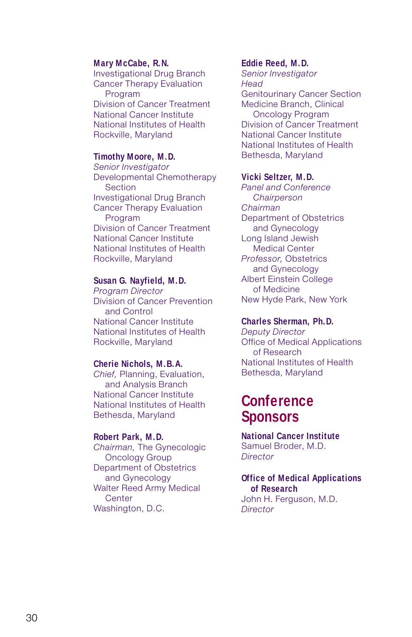#### **Mary McCabe, R.N.**

Investigational Drug Branch Cancer Therapy Evaluation Program Division of Cancer Treatment National Cancer Institute National Institutes of Health Rockville, Maryland

#### **Timothy Moore, M.D.**

Senior Investigator Developmental Chemotherapy **Section** Investigational Drug Branch Cancer Therapy Evaluation Program Division of Cancer Treatment National Cancer Institute National Institutes of Health Rockville, Maryland

#### **Susan G. Nayfield, M.D.**

Program Director Division of Cancer Prevention and Control National Cancer Institute National Institutes of Health Rockville, Maryland

#### **Cherie Nichols, M.B.A.**

Chief, Planning, Evaluation, and Analysis Branch National Cancer Institute National Institutes of Health Bethesda, Maryland

#### **Robert Park, M.D.**

Chairman, The Gynecologic Oncology Group Department of Obstetrics and Gynecology Walter Reed Army Medical **Center** Washington, D.C.

#### **Eddie Reed, M.D.**

Senior Investigator **Head** Genitourinary Cancer Section Medicine Branch, Clinical Oncology Program Division of Cancer Treatment National Cancer Institute National Institutes of Health Bethesda, Maryland

#### **Vicki Seltzer, M.D.**

Panel and Conference **Chairperson** Chairman Department of Obstetrics and Gynecology Long Island Jewish Medical Center Professor, Obstetrics and Gynecology Albert Einstein College of Medicine New Hyde Park, New York

#### **Charles Sherman, Ph.D.**

Deputy Director Office of Medical Applications of Research National Institutes of Health Bethesda, Maryland

### **Conference Sponsors**

**National Cancer Institute**  Samuel Broder, M.D. **Director** 

#### **Office of Medical Applications of Research**  John H. Ferguson, M.D. **Director**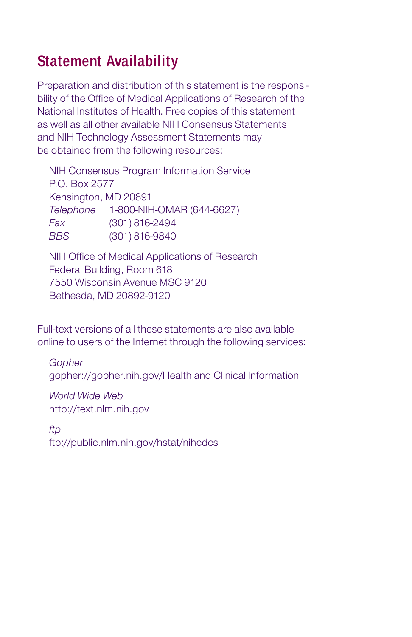## **Statement Availability**

Preparation and distribution of this statement is the responsibility of the Office of Medical Applications of Research of the National Institutes of Health. Free copies of this statement as well as all other available NIH Consensus Statements and NIH Technology Assessment Statements may be obtained from the following resources:

NIH Consensus Program Information Service P.O. Box 2577 Kensington, MD 20891 Telephone 1-800-NIH-OMAR (644-6627) Fax (301) 816-2494 BBS (301) 816-9840

NIH Office of Medical Applications of Research Federal Building, Room 618 7550 Wisconsin Avenue MSC 9120 Bethesda, MD 20892-9120

Full-text versions of all these statements are also available online to users of the Internet through the following services:

**Gopher** gopher://gopher.nih.gov/Health and Clinical Information

World Wide Web http://text.nlm.nih.gov

ftp ftp://public.nlm.nih.gov/hstat/nihcdcs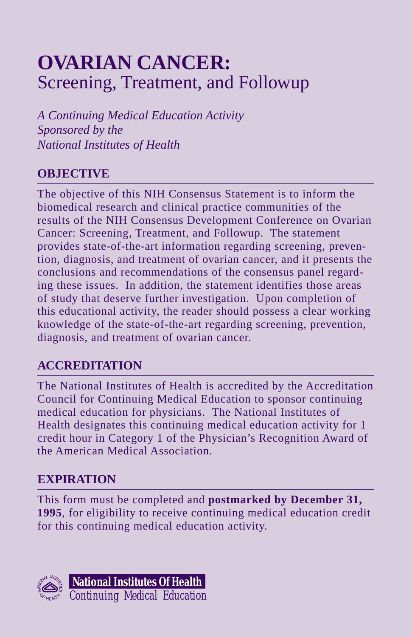## **OVARIAN CANCER:**  Screening, Treatment, and Followup

*A Continuing Medical Education Activity Sponsored by the National Institutes of Health* 

### **OBJECTIVE**

The objective of this NIH Consensus Statement is to inform the biomedical research and clinical practice communities of the results of the NIH Consensus Development Conference on Ovarian Cancer: Screening, Treatment, and Followup. The statement provides state-of-the-art information regarding screening, prevention, diagnosis, and treatment of ovarian cancer, and it presents the conclusions and recommendations of the consensus panel regarding these issues. In addition, the statement identifies those areas of study that deserve further investigation. Upon completion of this educational activity, the reader should possess a clear working knowledge of the state-of-the-art regarding screening, prevention, diagnosis, and treatment of ovarian cancer.

### **ACCREDITATION**

The National Institutes of Health is accredited by the Accreditation Council for Continuing Medical Education to sponsor continuing medical education for physicians. The National Institutes of Health designates this continuing medical education activity for 1 credit hour in Category 1 of the Physician's Recognition Award of the American Medical Association.

### **EXPIRATION**

This form must be completed and **postmarked by December 31, 1995**, for eligibility to receive continuing medical education credit for this continuing medical education activity.

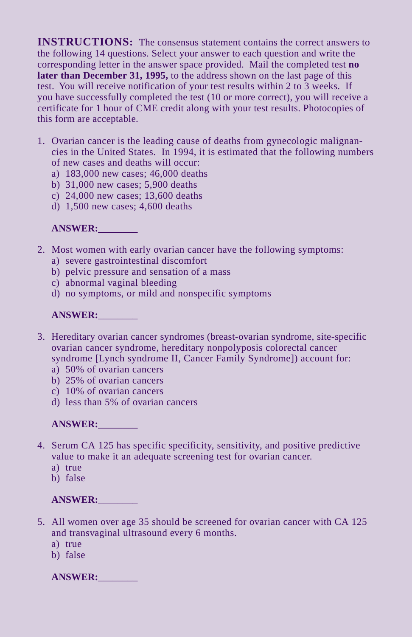**INSTRUCTIONS:** The consensus statement contains the correct answers to the following 14 questions. Select your answer to each question and write the corresponding letter in the answer space provided. Mail the completed test **no later than December 31, 1995,** to the address shown on the last page of this test. You will receive notification of your test results within 2 to 3 weeks. If you have successfully completed the test (10 or more correct), you will receive a certificate for 1 hour of CME credit along with your test results. Photocopies of this form are acceptable.

- 1. Ovarian cancer is the leading cause of deaths from gynecologic malignancies in the United States. In 1994, it is estimated that the following numbers of new cases and deaths will occur:
	- a) 183,000 new cases; 46,000 deaths
	- b) 31,000 new cases; 5,900 deaths
	- c) 24,000 new cases; 13,600 deaths
	- d) 1,500 new cases; 4,600 deaths

#### **ANSWER:**\_\_\_\_\_\_\_\_

- 2. Most women with early ovarian cancer have the following symptoms:
	- a) severe gastrointestinal discomfort
	- b) pelvic pressure and sensation of a mass
	- c) abnormal vaginal bleeding
	- d) no symptoms, or mild and nonspecific symptoms

#### **ANSWER:**\_\_\_\_\_\_\_\_

- 3. Hereditary ovarian cancer syndromes (breast-ovarian syndrome, site-specific ovarian cancer syndrome, hereditary nonpolyposis colorectal cancer syndrome [Lynch syndrome II, Cancer Family Syndrome]) account for:
	- a) 50% of ovarian cancers
	- b) 25% of ovarian cancers
	- c) 10% of ovarian cancers
	- d) less than 5% of ovarian cancers

#### **ANSWER:**\_\_\_\_\_\_\_\_

- 4. Serum CA 125 has specific specificity, sensitivity, and positive predictive value to make it an adequate screening test for ovarian cancer.
	- a) true
	- b) false

#### **ANSWER:**\_\_\_\_\_\_\_\_

- 5. All women over age 35 should be screened for ovarian cancer with CA 125 and transvaginal ultrasound every 6 months.
	- a) true
	- b) false

**ANSWER:**\_\_\_\_\_\_\_\_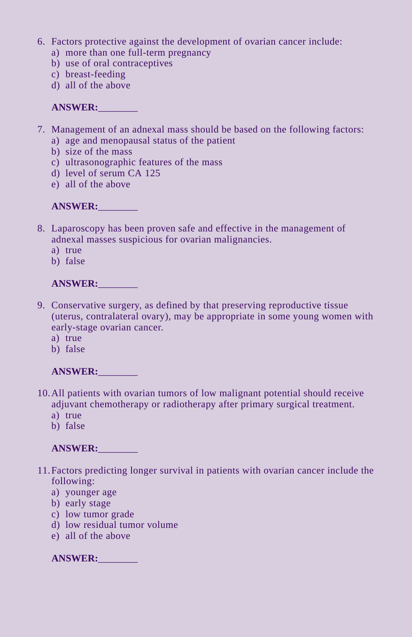- 6. Factors protective against the development of ovarian cancer include:
	- a) more than one full-term pregnancy
	- b) use of oral contraceptives
	- c) breast-feeding
	- d) all of the above

#### **ANSWER:**\_\_\_\_\_\_\_\_

- 7. Management of an adnexal mass should be based on the following factors:
	- a) age and menopausal status of the patient
	- b) size of the mass
	- c) ultrasonographic features of the mass
	- d) level of serum CA 125
	- e) all of the above

#### **ANSWER:**\_\_\_\_\_\_\_\_

- 8. Laparoscopy has been proven safe and effective in the management of adnexal masses suspicious for ovarian malignancies.
	- a) true
	- b) false

#### **ANSWER:**\_\_\_\_\_\_\_\_

- 9. Conservative surgery, as defined by that preserving reproductive tissue (uterus, contralateral ovary), may be appropriate in some young women with early-stage ovarian cancer.
	- a) true
	- b) false

#### **ANSWER:**\_\_\_\_\_\_\_\_

- 10.All patients with ovarian tumors of low malignant potential should receive adjuvant chemotherapy or radiotherapy after primary surgical treatment.
	- a) true
	- b) false

#### **ANSWER:**\_\_\_\_\_\_\_\_

- 11.Factors predicting longer survival in patients with ovarian cancer include the following:
	- a) younger age
	- b) early stage
	- c) low tumor grade
	- d) low residual tumor volume
	- e) all of the above

**ANSWER:**\_\_\_\_\_\_\_\_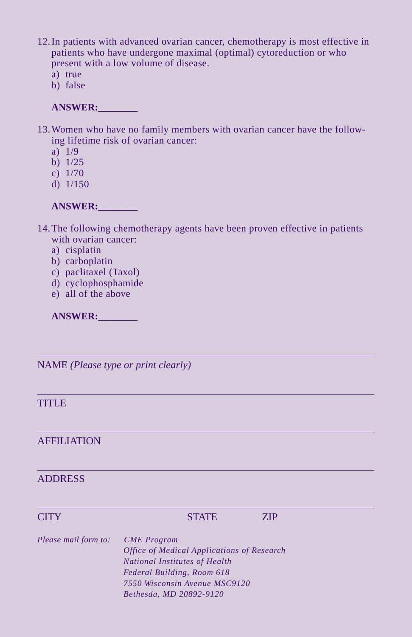- 12. In patients with advanced ovarian cancer, chemotherapy is most effective in patients who have undergone maximal (optimal) cytoreduction or who present with a low volume of disease.
	- a) true
	- b) false

#### **ANSWER:**\_\_\_\_\_\_\_\_

- 13. Women who have no family members with ovarian cancer have the following lifetime risk of ovarian cancer:
	- a) 1/9
	- b) 1/25
	- c) 1/70
	- d) 1/150

#### **ANSWER:**\_\_\_\_\_\_\_\_

- 14. The following chemotherapy agents have been proven effective in patients with ovarian cancer:
	- a) cisplatin
	- b) carboplatin
	- c) paclitaxel (Taxol)
	- d) cyclophosphamide
	- e) all of the above

**ANSWER:**\_\_\_\_\_\_\_\_

NAME *(Please type or print clearly)* 

#### **TITLE**

#### **AFFILIATION**

#### ADDRESS

CITY STATE ZIP

*Please mail form to: CME Program Office of Medical Applications of Research National Institutes of Health Federal Building, Room 618 7550 Wisconsin Avenue MSC9120 Bethesda, MD 20892-9120*